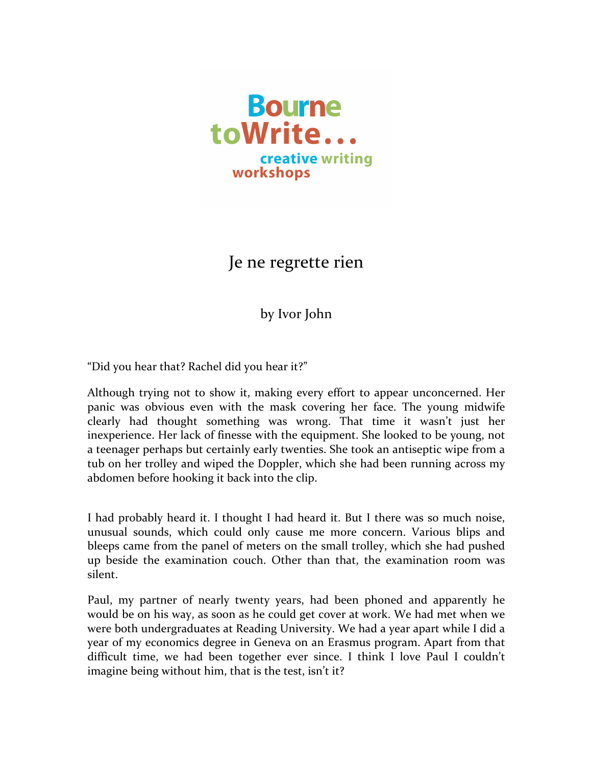

Je ne regrette rien

by Ivor John

"Did you hear that? Rachel did you hear it?"

Although trying not to show it, making every effort to appear unconcerned. Her panic was obvious even with the mask covering her face. The young midwife clearly had thought something was wrong. That time it wasn't just her inexperience. Her lack of finesse with the equipment. She looked to be young, not a teenager perhaps but certainly early twenties. She took an antiseptic wipe from a tub on her trolley and wiped the Doppler, which she had been running across my abdomen before hooking it back into the clip.

I had probably heard it. I thought I had heard it. But I there was so much noise, unusual sounds, which could only cause me more concern. Various blips and bleeps came from the panel of meters on the small trolley, which she had pushed up beside the examination couch. Other than that, the examination room was silent.

Paul, my partner of nearly twenty years, had been phoned and apparently he would be on his way, as soon as he could get cover at work. We had met when we were both undergraduates at Reading University. We had a year apart while I did a year of my economics degree in Geneva on an Erasmus program. Apart from that difficult time, we had been together ever since. I think I love Paul I couldn't imagine being without him, that is the test, isn't it?